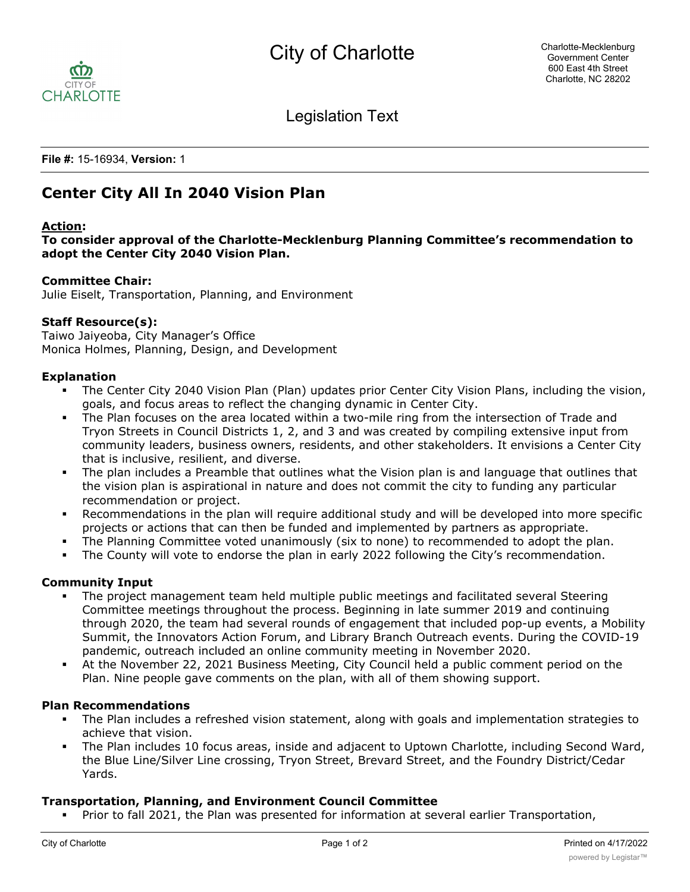

Legislation Text

**File #:** 15-16934, **Version:** 1

# **Center City All In 2040 Vision Plan**

## **Action:**

**To consider approval of the Charlotte-Mecklenburg Planning Committee's recommendation to adopt the Center City 2040 Vision Plan.**

#### **Committee Chair:**

Julie Eiselt, Transportation, Planning, and Environment

## **Staff Resource(s):**

Taiwo Jaiyeoba, City Manager's Office Monica Holmes, Planning, Design, and Development

#### **Explanation**

- The Center City 2040 Vision Plan (Plan) updates prior Center City Vision Plans, including the vision, goals, and focus areas to reflect the changing dynamic in Center City.
- The Plan focuses on the area located within a two-mile ring from the intersection of Trade and Tryon Streets in Council Districts 1, 2, and 3 and was created by compiling extensive input from community leaders, business owners, residents, and other stakeholders. It envisions a Center City that is inclusive, resilient, and diverse.
- The plan includes a Preamble that outlines what the Vision plan is and language that outlines that the vision plan is aspirational in nature and does not commit the city to funding any particular recommendation or project.
- Recommendations in the plan will require additional study and will be developed into more specific projects or actions that can then be funded and implemented by partners as appropriate.
- The Planning Committee voted unanimously (six to none) to recommended to adopt the plan.
- The County will vote to endorse the plan in early 2022 following the City's recommendation.

## **Community Input**

- The project management team held multiple public meetings and facilitated several Steering Committee meetings throughout the process. Beginning in late summer 2019 and continuing through 2020, the team had several rounds of engagement that included pop-up events, a Mobility Summit, the Innovators Action Forum, and Library Branch Outreach events. During the COVID-19 pandemic, outreach included an online community meeting in November 2020.
- § At the November 22, 2021 Business Meeting, City Council held a public comment period on the Plan. Nine people gave comments on the plan, with all of them showing support.

#### **Plan Recommendations**

- The Plan includes a refreshed vision statement, along with goals and implementation strategies to achieve that vision.
- The Plan includes 10 focus areas, inside and adjacent to Uptown Charlotte, including Second Ward, the Blue Line/Silver Line crossing, Tryon Street, Brevard Street, and the Foundry District/Cedar Yards.

## **Transportation, Planning, and Environment Council Committee**

§ Prior to fall 2021, the Plan was presented for information at several earlier Transportation,